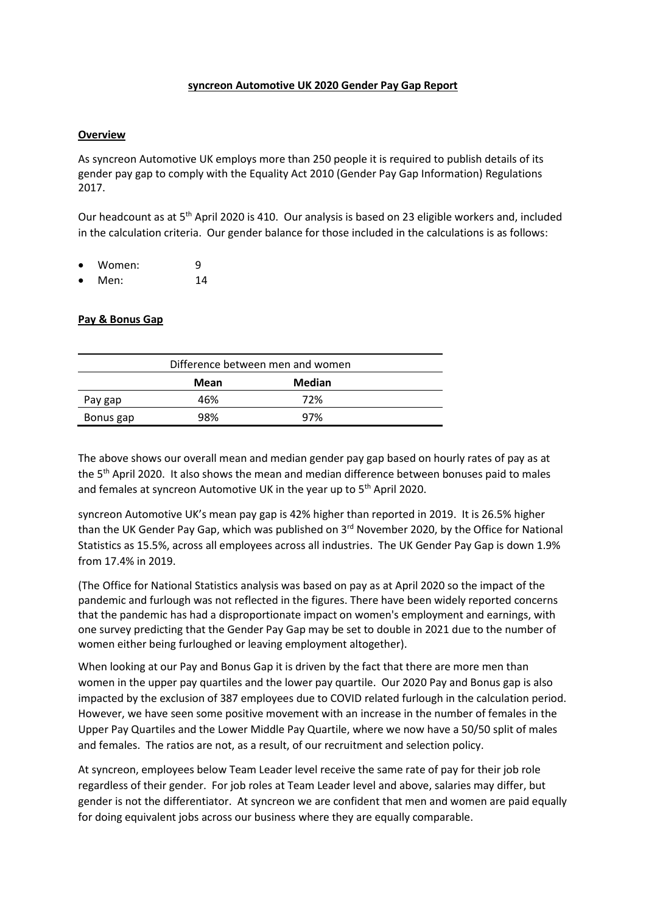### **syncreon Automotive UK 2020 Gender Pay Gap Report**

### **Overview**

As syncreon Automotive UK employs more than 250 people it is required to publish details of its gender pay gap to comply with the Equality Act 2010 (Gender Pay Gap Information) Regulations 2017.

Our headcount as at 5<sup>th</sup> April 2020 is 410. Our analysis is based on 23 eligible workers and, included in the calculation criteria. Our gender balance for those included in the calculations is as follows:

- Women: 9
- Men: 14

### **Pay & Bonus Gap**

| Difference between men and women |      |        |  |
|----------------------------------|------|--------|--|
|                                  | Mean | Median |  |
| Pay gap                          | 46%  | 72%    |  |
| Bonus gap                        | 98%  | 97%    |  |

The above shows our overall mean and median gender pay gap based on hourly rates of pay as at the 5<sup>th</sup> April 2020. It also shows the mean and median difference between bonuses paid to males and females at syncreon Automotive UK in the year up to 5<sup>th</sup> April 2020.

syncreon Automotive UK's mean pay gap is 42% higher than reported in 2019. It is 26.5% higher than the UK Gender Pay Gap, which was published on 3<sup>rd</sup> November 2020, by the Office for National Statistics as 15.5%, across all employees across all industries. The UK Gender Pay Gap is down 1.9% from 17.4% in 2019.

(The Office for National Statistics analysis was based on pay as at April 2020 so the impact of the pandemic and furlough was not reflected in the figures. There have been widely reported concerns that the pandemic has had a disproportionate impact on women's employment and earnings, with one survey predicting that the Gender Pay Gap may be set to double in 2021 due to the number of women either being furloughed or leaving employment altogether).

When looking at our Pay and Bonus Gap it is driven by the fact that there are more men than women in the upper pay quartiles and the lower pay quartile. Our 2020 Pay and Bonus gap is also impacted by the exclusion of 387 employees due to COVID related furlough in the calculation period. However, we have seen some positive movement with an increase in the number of females in the Upper Pay Quartiles and the Lower Middle Pay Quartile, where we now have a 50/50 split of males and females. The ratios are not, as a result, of our recruitment and selection policy.

At syncreon, employees below Team Leader level receive the same rate of pay for their job role regardless of their gender. For job roles at Team Leader level and above, salaries may differ, but gender is not the differentiator. At syncreon we are confident that men and women are paid equally for doing equivalent jobs across our business where they are equally comparable.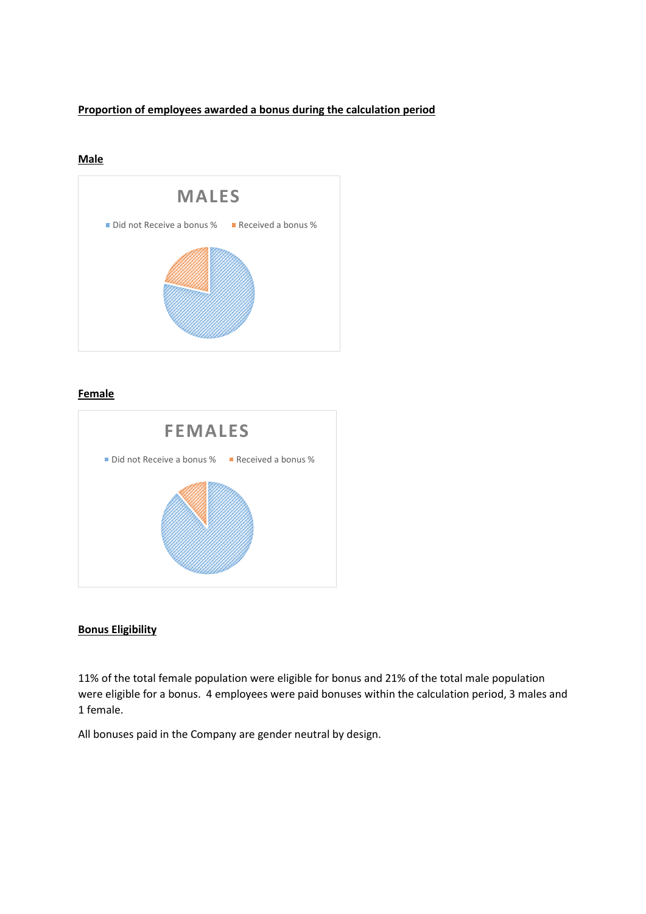# **Proportion of employees awarded a bonus during the calculation period**

## **Male**



### **Female**



### **Bonus Eligibility**

11% of the total female population were eligible for bonus and 21% of the total male population were eligible for a bonus. 4 employees were paid bonuses within the calculation period, 3 males and 1 female.

All bonuses paid in the Company are gender neutral by design.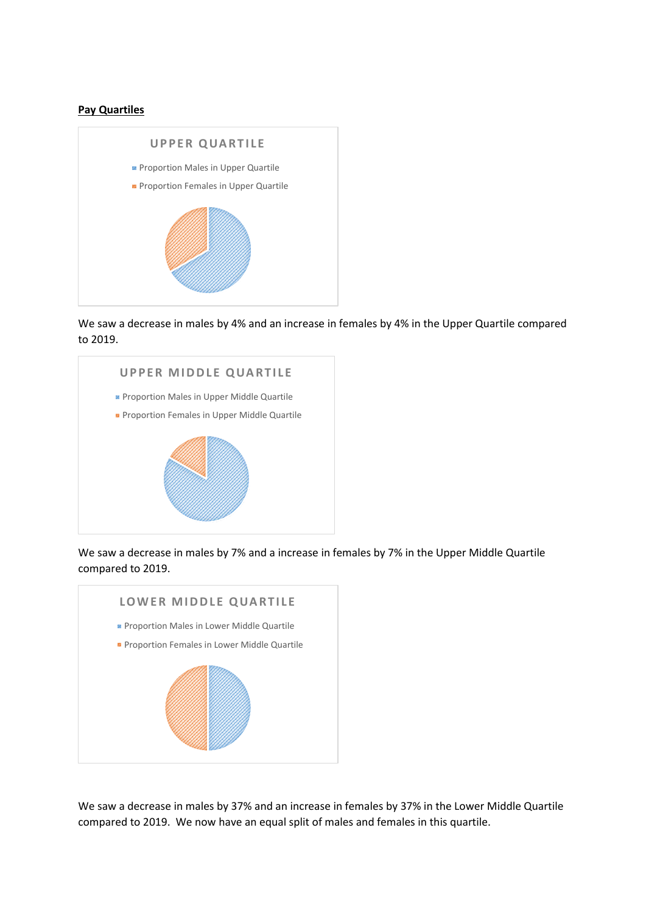### **Pay Quartiles**



We saw a decrease in males by 4% and an increase in females by 4% in the Upper Quartile compared to 2019.



We saw a decrease in males by 7% and a increase in females by 7% in the Upper Middle Quartile compared to 2019.



We saw a decrease in males by 37% and an increase in females by 37% in the Lower Middle Quartile compared to 2019. We now have an equal split of males and females in this quartile.